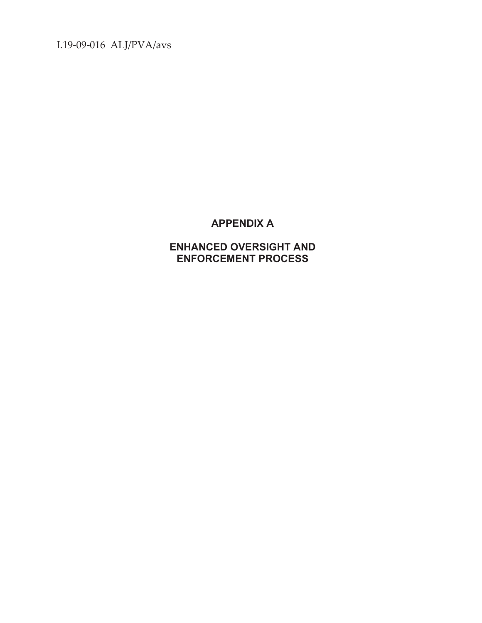I.19-09-016 ALJ/PVA/avs

# **APPENDIX A**

**ENHANCED OVERSIGHT AND ENFORCEMENT PROCESS**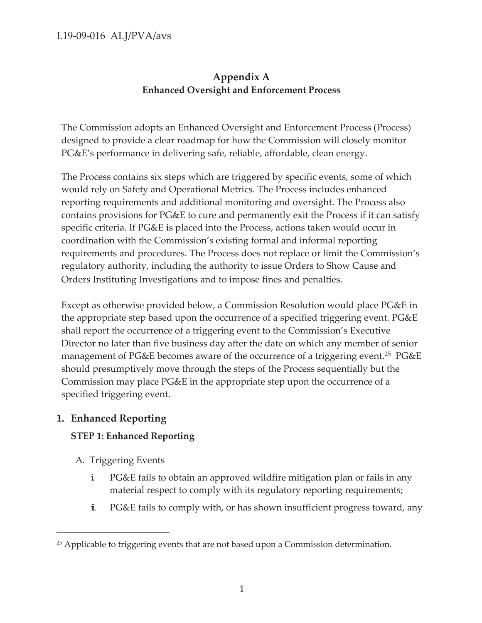### I.19-09-016 ALJ/PVA/avs

## **Appendix A Enhanced Oversight and Enforcement Process**

The Commission adopts an Enhanced Oversight and Enforcement Process (Process) designed to provide a clear roadmap for how the Commission will closely monitor PG&E's performance in delivering safe, reliable, affordable, clean energy.

The Process contains six steps which are triggered by specific events, some of which would rely on Safety and Operational Metrics. The Process includes enhanced reporting requirements and additional monitoring and oversight. The Process also contains provisions for PG&E to cure and permanently exit the Process if it can satisfy specific criteria. If PG&E is placed into the Process, actions taken would occur in coordination with the Commission's existing formal and informal reporting requirements and procedures. The Process does not replace or limit the Commission's regulatory authority, including the authority to issue Orders to Show Cause and Orders Instituting Investigations and to impose fines and penalties.

Except as otherwise provided below, a Commission Resolution would place PG&E in the appropriate step based upon the occurrence of a specified triggering event. PG&E shall report the occurrence of a triggering event to the Commission's Executive Director no later than five business day after the date on which any member of senior management of PG&E becomes aware of the occurrence of a triggering event.<sup>25</sup> PG&E should presumptively move through the steps of the Process sequentially but the Commission may place PG&E in the appropriate step upon the occurrence of a specified triggering event.

## **1. Enhanced Reporting**

#### **STEP 1: Enhanced Reporting**

- A. Triggering Events
	- i. PG&E fails to obtain an approved wildfire mitigation plan or fails in any material respect to comply with its regulatory reporting requirements;
	- ii. PG&E fails to comply with, or has shown insufficient progress toward, any

<sup>&</sup>lt;sup>25</sup> Applicable to triggering events that are not based upon a Commission determination.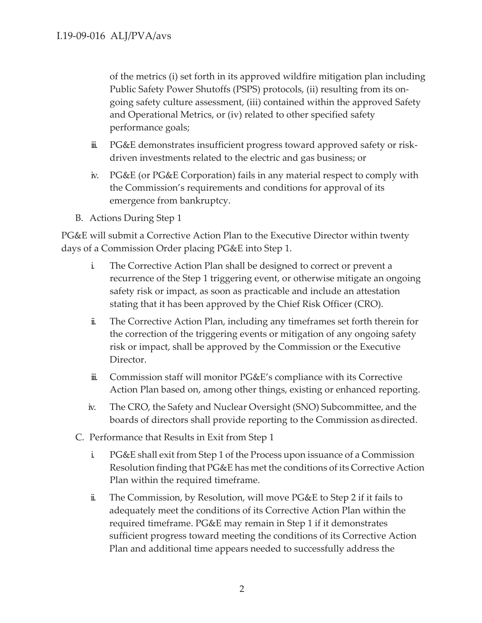of the metrics (i) set forth in its approved wildfire mitigation plan including Public Safety Power Shutoffs (PSPS) protocols, (ii) resulting from its ongoing safety culture assessment, (iii) contained within the approved Safety and Operational Metrics, or (iv) related to other specified safety performance goals;

- iii. PG&E demonstrates insufficient progress toward approved safety or riskdriven investments related to the electric and gas business; or
- iv. PG&E (or PG&E Corporation) fails in any material respect to comply with the Commission's requirements and conditions for approval of its emergence from bankruptcy.
- B. Actions During Step 1

PG&E will submit a Corrective Action Plan to the Executive Director within twenty days of a Commission Order placing PG&E into Step 1.

- i. The Corrective Action Plan shall be designed to correct or prevent a recurrence of the Step 1 triggering event, or otherwise mitigate an ongoing safety risk or impact, as soon as practicable and include an attestation stating that it has been approved by the Chief Risk Officer (CRO).
- ii. The Corrective Action Plan, including any timeframes set forth therein for the correction of the triggering events or mitigation of any ongoing safety risk or impact, shall be approved by the Commission or the Executive Director.
- iii. Commission staff will monitor PG&E's compliance with its Corrective Action Plan based on, among other things, existing or enhanced reporting.
- iv. The CRO, the Safety and Nuclear Oversight (SNO) Subcommittee, and the boards of directors shall provide reporting to the Commission as directed.
- C. Performance that Results in Exit from Step 1
	- i. PG&E shall exit from Step 1 of the Process upon issuance of a Commission Resolution finding that PG&E has met the conditions of its Corrective Action Plan within the required timeframe.
	- ii. The Commission, by Resolution, will move PG&E to Step 2 if it fails to adequately meet the conditions of its Corrective Action Plan within the required timeframe. PG&E may remain in Step 1 if it demonstrates sufficient progress toward meeting the conditions of its Corrective Action Plan and additional time appears needed to successfully address the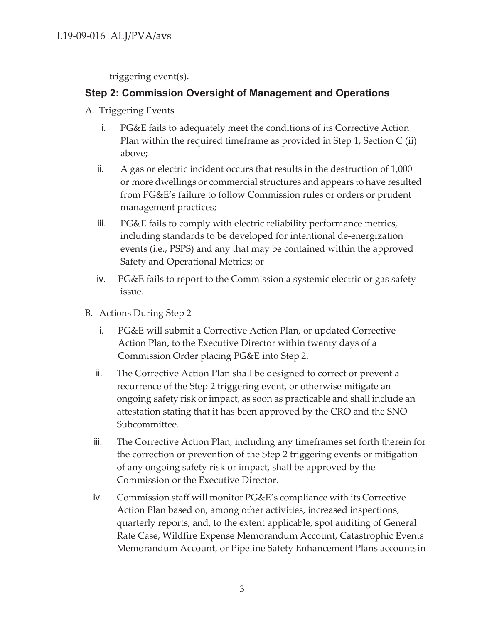triggering event(s).

## **Step 2: Commission Oversight of Management and Operations**

- A. Triggering Events
	- i. PG&E fails to adequately meet the conditions of its Corrective Action Plan within the required timeframe as provided in Step 1, Section C (ii) above;
	- ii. A gas or electric incident occurs that results in the destruction of 1,000 or more dwellings or commercial structures and appears to have resulted from PG&E's failure to follow Commission rules or orders or prudent management practices;
	- iii. PG&E fails to comply with electric reliability performance metrics, including standards to be developed for intentional de-energization events (i.e., PSPS) and any that may be contained within the approved Safety and Operational Metrics; or
	- iv. PG&E fails to report to the Commission a systemic electric or gas safety issue.
- B. Actions During Step 2
	- i. PG&E will submit a Corrective Action Plan, or updated Corrective Action Plan, to the Executive Director within twenty days of a Commission Order placing PG&E into Step 2.
	- ii. The Corrective Action Plan shall be designed to correct or prevent a recurrence of the Step 2 triggering event, or otherwise mitigate an ongoing safety risk or impact, as soon as practicable and shall include an attestation stating that it has been approved by the CRO and the SNO Subcommittee.
	- iii. The Corrective Action Plan, including any timeframes set forth therein for the correction or prevention of the Step 2 triggering events or mitigation of any ongoing safety risk or impact, shall be approved by the Commission or the Executive Director.
	- iv. Commission staff will monitor PG&E's compliance with its Corrective Action Plan based on, among other activities, increased inspections, quarterly reports, and, to the extent applicable, spot auditing of General Rate Case, Wildfire Expense Memorandum Account, Catastrophic Events Memorandum Account, or Pipeline Safety Enhancement Plans accounts in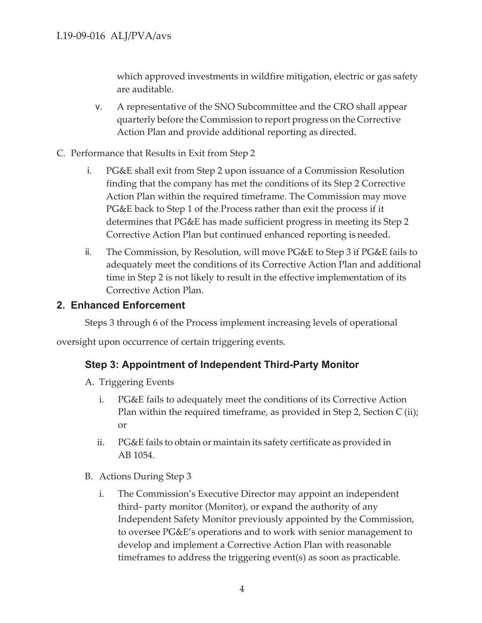which approved investments in wildfire mitigation, electric or gas safety are auditable.

- v. A representative of the SNO Subcommittee and the CRO shall appear quarterly before the Commission to report progress on the Corrective Action Plan and provide additional reporting as directed.
- C. Performance that Results in Exit from Step 2
	- i. PG&E shall exit from Step 2 upon issuance of a Commission Resolution finding that the company has met the conditions of its Step 2 Corrective Action Plan within the required timeframe. The Commission may move PG&E back to Step 1 of the Process rather than exit the process if it determines that PG&E has made sufficient progress in meeting its Step 2 Corrective Action Plan but continued enhanced reporting is needed.
	- ii. The Commission, by Resolution, will move PG&E to Step 3 if PG&E fails to adequately meet the conditions of its Corrective Action Plan and additional time in Step 2 is not likely to result in the effective implementation of its Corrective Action Plan.

### **2. Enhanced Enforcement**

Steps 3 through 6 of the Process implement increasing levels of operational

oversight upon occurrence of certain triggering events.

#### **Step 3: Appointment of Independent Third-Party Monitor**

- A. Triggering Events
	- i. PG&E fails to adequately meet the conditions of its Corrective Action Plan within the required timeframe, as provided in Step 2, Section C (ii); or
	- ii. PG&E fails to obtain or maintain its safety certificate as provided in AB 1054.
- B. Actions During Step 3
	- i. The Commission's Executive Director may appoint an independent third- party monitor (Monitor), or expand the authority of any Independent Safety Monitor previously appointed by the Commission, to oversee PG&E's operations and to work with senior management to develop and implement a Corrective Action Plan with reasonable timeframes to address the triggering event(s) as soon as practicable.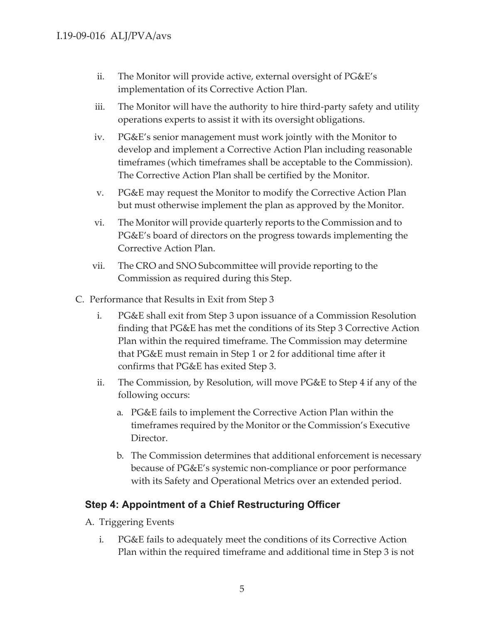- ii. The Monitor will provide active, external oversight of PG&E's implementation of its Corrective Action Plan.
- iii. The Monitor will have the authority to hire third-party safety and utility operations experts to assist it with its oversight obligations.
- iv. PG&E's senior management must work jointly with the Monitor to develop and implement a Corrective Action Plan including reasonable timeframes (which timeframes shall be acceptable to the Commission). The Corrective Action Plan shall be certified by the Monitor.
- v. PG&E may request the Monitor to modify the Corrective Action Plan but must otherwise implement the plan as approved by the Monitor.
- vi. The Monitor will provide quarterly reports to the Commission and to PG&E's board of directors on the progress towards implementing the Corrective Action Plan.
- vii. The CRO and SNO Subcommittee will provide reporting to the Commission as required during this Step.
- C. Performance that Results in Exit from Step 3
	- i. PG&E shall exit from Step 3 upon issuance of a Commission Resolution finding that PG&E has met the conditions of its Step 3 Corrective Action Plan within the required timeframe. The Commission may determine that PG&E must remain in Step 1 or 2 for additional time after it confirms that PG&E has exited Step 3.
	- ii. The Commission, by Resolution, will move PG&E to Step 4 if any of the following occurs:
		- a. PG&E fails to implement the Corrective Action Plan within the timeframes required by the Monitor or the Commission's Executive Director.
		- b. The Commission determines that additional enforcement is necessary because of PG&E's systemic non-compliance or poor performance with its Safety and Operational Metrics over an extended period.

## **Step 4: Appointment of a Chief Restructuring Officer**

- A. Triggering Events
	- i. PG&E fails to adequately meet the conditions of its Corrective Action Plan within the required timeframe and additional time in Step 3 is not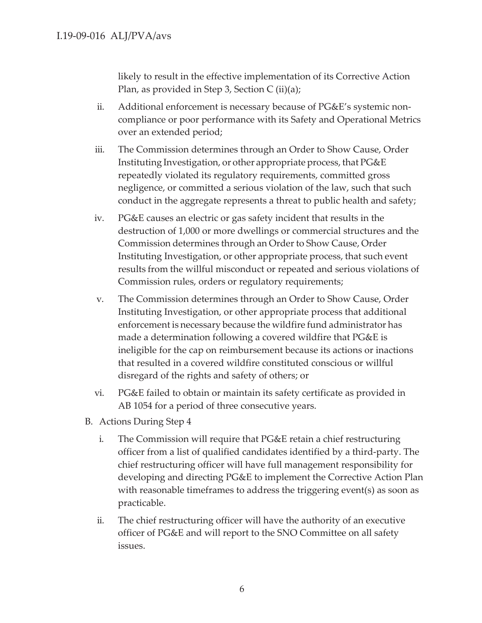likely to result in the effective implementation of its Corrective Action Plan, as provided in Step 3, Section C  $(ii)(a)$ ;

- ii. Additional enforcement is necessary because of PG&E's systemic noncompliance or poor performance with its Safety and Operational Metrics over an extended period;
- iii. The Commission determines through an Order to Show Cause, Order Instituting Investigation, or other appropriate process, that PG&E repeatedly violated its regulatory requirements, committed gross negligence, or committed a serious violation of the law, such that such conduct in the aggregate represents a threat to public health and safety;
- iv. PG&E causes an electric or gas safety incident that results in the destruction of 1,000 or more dwellings or commercial structures and the Commission determines through an Order to Show Cause, Order Instituting Investigation, or other appropriate process, that such event results from the willful misconduct or repeated and serious violations of Commission rules, orders or regulatory requirements;
- v. The Commission determines through an Order to Show Cause, Order Instituting Investigation, or other appropriate process that additional enforcement is necessary because the wildfire fund administrator has made a determination following a covered wildfire that PG&E is ineligible for the cap on reimbursement because its actions or inactions that resulted in a covered wildfire constituted conscious or willful disregard of the rights and safety of others; or
- vi. PG&E failed to obtain or maintain its safety certificate as provided in AB 1054 for a period of three consecutive years.
- B. Actions During Step 4
	- i. The Commission will require that PG&E retain a chief restructuring officer from a list of qualified candidates identified by a third-party. The chief restructuring officer will have full management responsibility for developing and directing PG&E to implement the Corrective Action Plan with reasonable timeframes to address the triggering event(s) as soon as practicable.
	- ii. The chief restructuring officer will have the authority of an executive officer of PG&E and will report to the SNO Committee on all safety issues.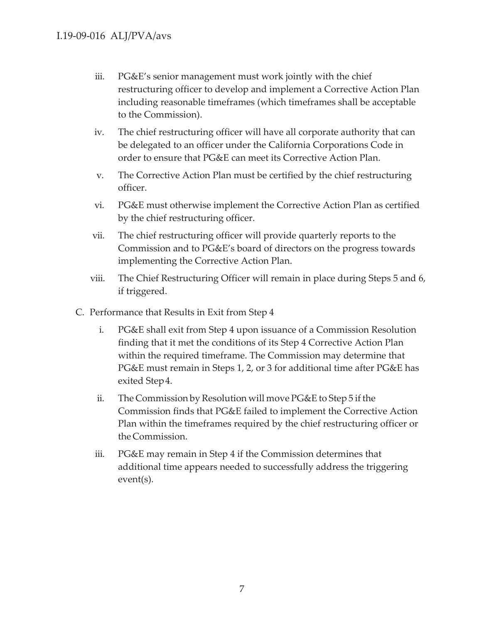- iii. PG&E's senior management must work jointly with the chief restructuring officer to develop and implement a Corrective Action Plan including reasonable timeframes (which timeframes shall be acceptable to the Commission).
- iv. The chief restructuring officer will have all corporate authority that can be delegated to an officer under the California Corporations Code in order to ensure that PG&E can meet its Corrective Action Plan.
- v. The Corrective Action Plan must be certified by the chief restructuring officer.
- vi. PG&E must otherwise implement the Corrective Action Plan as certified by the chief restructuring officer.
- vii. The chief restructuring officer will provide quarterly reports to the Commission and to PG&E's board of directors on the progress towards implementing the Corrective Action Plan.
- viii. The Chief Restructuring Officer will remain in place during Steps 5 and 6, if triggered.
- C. Performance that Results in Exit from Step 4
	- i. PG&E shall exit from Step 4 upon issuance of a Commission Resolution finding that it met the conditions of its Step 4 Corrective Action Plan within the required timeframe. The Commission may determine that PG&E must remain in Steps 1, 2, or 3 for additional time after PG&E has exited Step 4.
	- ii. The Commission by Resolution will move PG&E to Step 5 if the Commission finds that PG&E failed to implement the Corrective Action Plan within the timeframes required by the chief restructuring officer or the Commission.
	- iii. PG&E may remain in Step 4 if the Commission determines that additional time appears needed to successfully address the triggering event(s).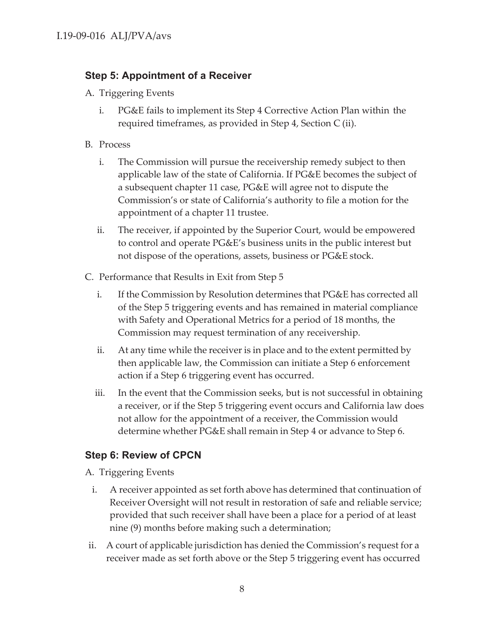# **Step 5: Appointment of a Receiver**

- A. Triggering Events
	- i. PG&E fails to implement its Step 4 Corrective Action Plan within the required timeframes, as provided in Step 4, Section C (ii).
- B. Process
	- i. The Commission will pursue the receivership remedy subject to then applicable law of the state of California. If PG&E becomes the subject of a subsequent chapter 11 case, PG&E will agree not to dispute the Commission's or state of California's authority to file a motion for the appointment of a chapter 11 trustee.
	- ii. The receiver, if appointed by the Superior Court, would be empowered to control and operate PG&E's business units in the public interest but not dispose of the operations, assets, business or PG&E stock.
- C. Performance that Results in Exit from Step 5
	- i. If the Commission by Resolution determines that PG&E has corrected all of the Step 5 triggering events and has remained in material compliance with Safety and Operational Metrics for a period of 18 months, the Commission may request termination of any receivership.
	- ii. At any time while the receiver is in place and to the extent permitted by then applicable law, the Commission can initiate a Step 6 enforcement action if a Step 6 triggering event has occurred.
	- iii. In the event that the Commission seeks, but is not successful in obtaining a receiver, or if the Step 5 triggering event occurs and California law does not allow for the appointment of a receiver, the Commission would determine whether PG&E shall remain in Step 4 or advance to Step 6.

# **Step 6: Review of CPCN**

- A. Triggering Events
- i. A receiver appointed as set forth above has determined that continuation of Receiver Oversight will not result in restoration of safe and reliable service; provided that such receiver shall have been a place for a period of at least nine (9) months before making such a determination;
- ii. A court of applicable jurisdiction has denied the Commission's request for a receiver made as set forth above or the Step 5 triggering event has occurred